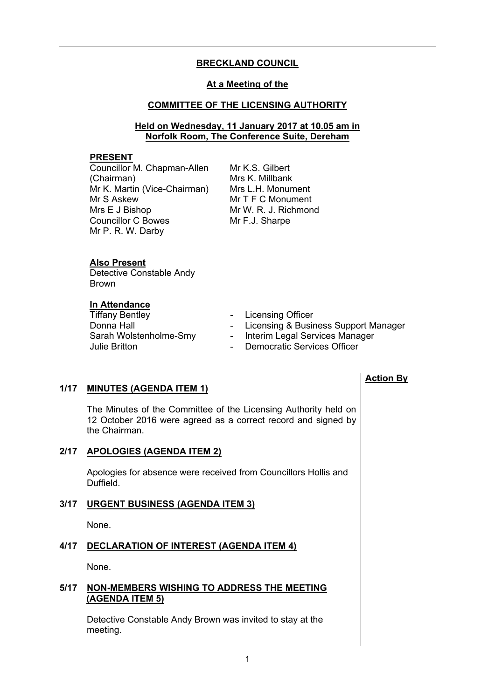## **BRECKLAND COUNCIL**

#### **At a Meeting of the**

#### **COMMITTEE OF THE LICENSING AUTHORITY**

#### **Held on Wednesday, 11 January 2017 at 10.05 am in Norfolk Room, The Conference Suite, Dereham**

#### **PRESENT**

Councillor M. Chapman-Allen (Chairman) Mr K. Martin (Vice-Chairman) Mr S Askew Mrs E J Bishop Councillor C Bowes Mr P. R. W. Darby

Mr K.S. Gilbert Mrs K. Millbank Mrs L.H. Monument Mr T F C Monument Mr W. R. J. Richmond Mr F.J. Sharpe

#### **Also Present**

Detective Constable Andy Brown

# **In Attendance**

Tiffany Bentley<br>
Donna Hall<br>
Donna Hall<br>
Conserved the Licensing & Busin

- 
- Licensing & Business Support Manager
- Sarah Wolstenholme-Smy Interim Legal Services Manager
- Julie Britton  **Democratic Services Officer**

## **1/17 MINUTES (AGENDA ITEM 1)**

The Minutes of the Committee of the Licensing Authority held on 12 October 2016 were agreed as a correct record and signed by the Chairman.

## **2/17 APOLOGIES (AGENDA ITEM 2)**

Apologies for absence were received from Councillors Hollis and Duffield.

## **3/17 URGENT BUSINESS (AGENDA ITEM 3)**

None.

## **4/17 DECLARATION OF INTEREST (AGENDA ITEM 4)**

None.

#### **5/17 NON-MEMBERS WISHING TO ADDRESS THE MEETING (AGENDA ITEM 5)**

Detective Constable Andy Brown was invited to stay at the meeting.

## **Action By**